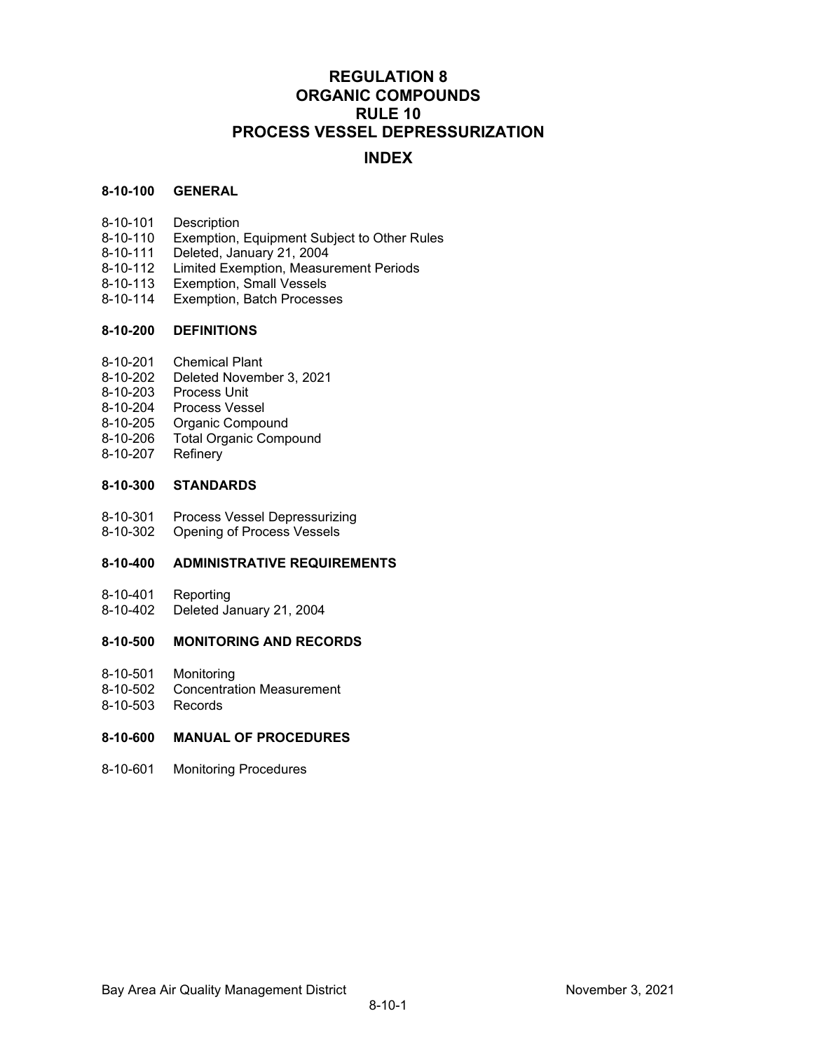# **REGULATION 8 ORGANIC COMPOUNDS RULE 10 PROCESS VESSEL DEPRESSURIZATION**

## **INDEX**

## **8-10-100 GENERAL**

- 8-10-101 Description
- 8-10-110 Exemption, Equipment Subject to Other Rules
- 8-10-111 Deleted, January 21, 2004
- 8-10-112 Limited Exemption, Measurement Periods
- 8-10-113 Exemption, Small Vessels
- 8-10-114 Exemption, Batch Processes

#### **8-10-200 DEFINITIONS**

- 8-10-201 Chemical Plant
- 8-10-202 Deleted November 3, 2021
- 8-10-203 Process Unit
- 8-10-204 Process Vessel
- 8-10-205 Organic Compound
- 8-10-206 Total Organic Compound
- 8-10-207 Refinery

#### **8-10-300 STANDARDS**

- 8-10-301 Process Vessel Depressurizing<br>8-10-302 Opening of Process Vessels
- Opening of Process Vessels

## **8-10-400 ADMINISTRATIVE REQUIREMENTS**

- 8-10-401 Reporting
- 8-10-402 Deleted January 21, 2004

## **8-10-500 MONITORING AND RECORDS**

- 8-10-501 Monitoring
- 8-10-502 Concentration Measurement
- 8-10-503 Records

## **8-10-600 MANUAL OF PROCEDURES**

8-10-601 Monitoring Procedures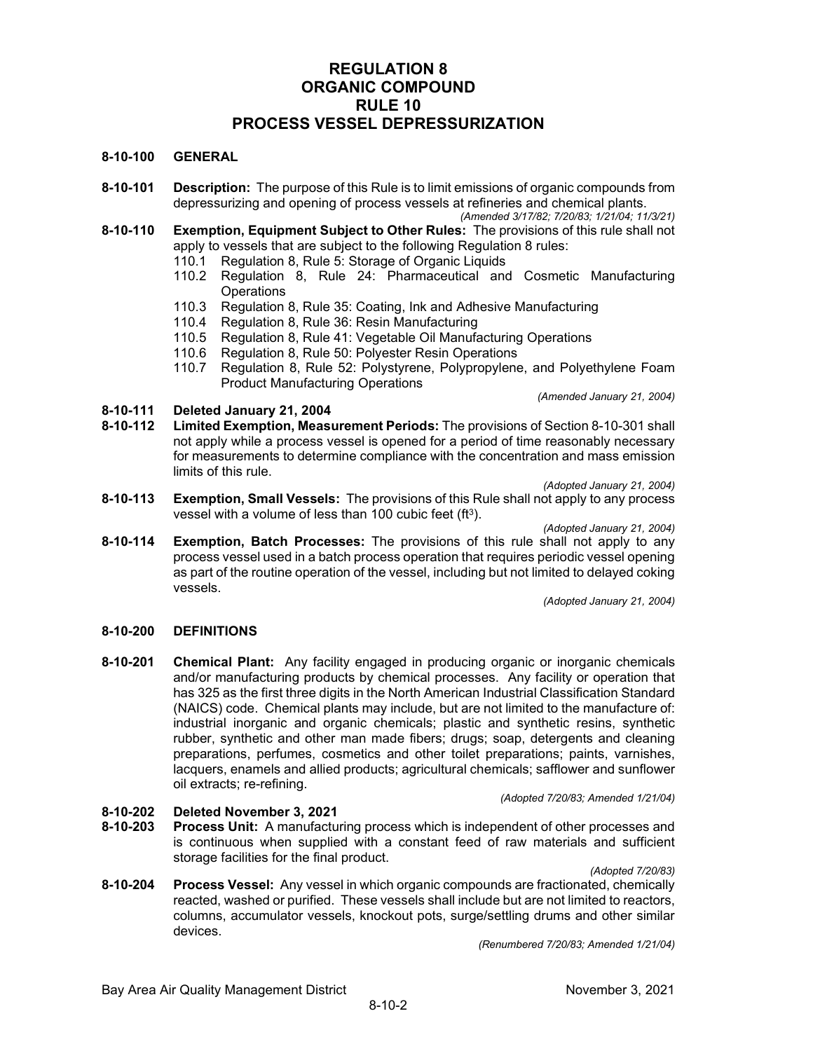## **REGULATION 8 ORGANIC COMPOUND RULE 10 PROCESS VESSEL DEPRESSURIZATION**

## **8-10-100 GENERAL**

- **8-10-101 Description:** The purpose of this Rule is to limit emissions of organic compounds from depressurizing and opening of process vessels at refineries and chemical plants.
- *(Amended 3/17/82; 7/20/83; 1/21/04; 11/3/21)* **8-10-110 Exemption, Equipment Subject to Other Rules:** The provisions of this rule shall not apply to vessels that are subject to the following Regulation 8 rules:
	- 110.1 Regulation 8, Rule 5: Storage of Organic Liquids
	- Regulation 8, Rule 24: Pharmaceutical and Cosmetic Manufacturing **Operations**
	- 110.3 Regulation 8, Rule 35: Coating, Ink and Adhesive Manufacturing
	- Regulation 8, Rule 36: Resin Manufacturing
	- 110.5 Regulation 8, Rule 41: Vegetable Oil Manufacturing Operations
	- 110.6 Regulation 8, Rule 50: Polyester Resin Operations
	- 110.7 Regulation 8, Rule 52: Polystyrene, Polypropylene, and Polyethylene Foam Product Manufacturing Operations

*(Amended January 21, 2004)*

- **8-10-111 Deleted January 21, 2004**
- **8-10-112 Limited Exemption, Measurement Periods:** The provisions of Section 8-10-301 shall not apply while a process vessel is opened for a period of time reasonably necessary for measurements to determine compliance with the concentration and mass emission limits of this rule.
	- *(Adopted January 21, 2004)*
- **8-10-113 Exemption, Small Vessels:** The provisions of this Rule shall not apply to any process vessel with a volume of less than 100 cubic feet (ft<sup>3</sup>).

*(Adopted January 21, 2004)*

**8-10-114 Exemption, Batch Processes:** The provisions of this rule shall not apply to any process vessel used in a batch process operation that requires periodic vessel opening as part of the routine operation of the vessel, including but not limited to delayed coking vessels.

*(Adopted January 21, 2004)*

#### **8-10-200 DEFINITIONS**

**8-10-201 Chemical Plant:** Any facility engaged in producing organic or inorganic chemicals and/or manufacturing products by chemical processes. Any facility or operation that has 325 as the first three digits in the North American Industrial Classification Standard (NAICS) code. Chemical plants may include, but are not limited to the manufacture of: industrial inorganic and organic chemicals; plastic and synthetic resins, synthetic rubber, synthetic and other man made fibers; drugs; soap, detergents and cleaning preparations, perfumes, cosmetics and other toilet preparations; paints, varnishes, lacquers, enamels and allied products; agricultural chemicals; safflower and sunflower oil extracts; re-refining.

*(Adopted 7/20/83; Amended 1/21/04)*

## **8-10-202 Deleted November 3, 2021**

**8-10-203 Process Unit:** A manufacturing process which is independent of other processes and is continuous when supplied with a constant feed of raw materials and sufficient storage facilities for the final product.

*(Adopted 7/20/83)*

**8-10-204 Process Vessel:** Any vessel in which organic compounds are fractionated, chemically reacted, washed or purified. These vessels shall include but are not limited to reactors, columns, accumulator vessels, knockout pots, surge/settling drums and other similar devices.

*(Renumbered 7/20/83; Amended 1/21/04)*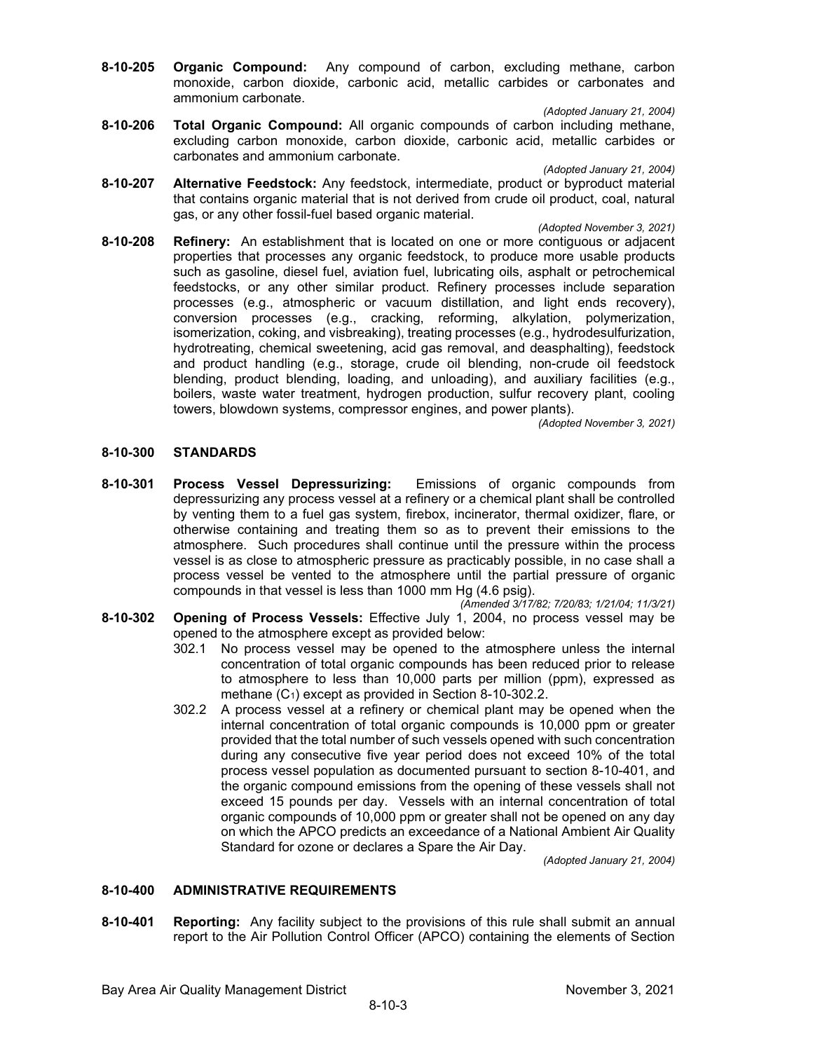**8-10-205 Organic Compound:** Any compound of carbon, excluding methane, carbon monoxide, carbon dioxide, carbonic acid, metallic carbides or carbonates and ammonium carbonate.

*(Adopted January 21, 2004)*

**8-10-206 Total Organic Compound:** All organic compounds of carbon including methane, excluding carbon monoxide, carbon dioxide, carbonic acid, metallic carbides or carbonates and ammonium carbonate.

*(Adopted January 21, 2004)*

**8-10-207 Alternative Feedstock:** Any feedstock, intermediate, product or byproduct material that contains organic material that is not derived from crude oil product, coal, natural gas, or any other fossil-fuel based organic material.

*(Adopted November 3, 2021)*

**8-10-208 Refinery:** An establishment that is located on one or more contiguous or adjacent properties that processes any organic feedstock, to produce more usable products such as gasoline, diesel fuel, aviation fuel, lubricating oils, asphalt or petrochemical feedstocks, or any other similar product. Refinery processes include separation processes (e.g., atmospheric or vacuum distillation, and light ends recovery), conversion processes (e.g., cracking, reforming, alkylation, polymerization, isomerization, coking, and visbreaking), treating processes (e.g., hydrodesulfurization, hydrotreating, chemical sweetening, acid gas removal, and deasphalting), feedstock and product handling (e.g., storage, crude oil blending, non-crude oil feedstock blending, product blending, loading, and unloading), and auxiliary facilities (e.g., boilers, waste water treatment, hydrogen production, sulfur recovery plant, cooling towers, blowdown systems, compressor engines, and power plants).

*(Adopted November 3, 2021)*

#### **8-10-300 STANDARDS**

**8-10-301 Process Vessel Depressurizing:** Emissions of organic compounds from depressurizing any process vessel at a refinery or a chemical plant shall be controlled by venting them to a fuel gas system, firebox, incinerator, thermal oxidizer, flare, or otherwise containing and treating them so as to prevent their emissions to the atmosphere. Such procedures shall continue until the pressure within the process vessel is as close to atmospheric pressure as practicably possible, in no case shall a process vessel be vented to the atmosphere until the partial pressure of organic compounds in that vessel is less than 1000 mm Hg (4.6 psig).

*(Amended 3/17/82; 7/20/83; 1/21/04; 11/3/21)*

- **8-10-302 Opening of Process Vessels:** Effective July 1, 2004, no process vessel may be opened to the atmosphere except as provided below:
	- 302.1 No process vessel may be opened to the atmosphere unless the internal concentration of total organic compounds has been reduced prior to release to atmosphere to less than 10,000 parts per million (ppm), expressed as methane (C1) except as provided in Section 8-10-302.2.
	- 302.2 A process vessel at a refinery or chemical plant may be opened when the internal concentration of total organic compounds is 10,000 ppm or greater provided that the total number of such vessels opened with such concentration during any consecutive five year period does not exceed 10% of the total process vessel population as documented pursuant to section 8-10-401, and the organic compound emissions from the opening of these vessels shall not exceed 15 pounds per day. Vessels with an internal concentration of total organic compounds of 10,000 ppm or greater shall not be opened on any day on which the APCO predicts an exceedance of a National Ambient Air Quality Standard for ozone or declares a Spare the Air Day.

*(Adopted January 21, 2004)*

#### **8-10-400 ADMINISTRATIVE REQUIREMENTS**

**8-10-401 Reporting:** Any facility subject to the provisions of this rule shall submit an annual report to the Air Pollution Control Officer (APCO) containing the elements of Section